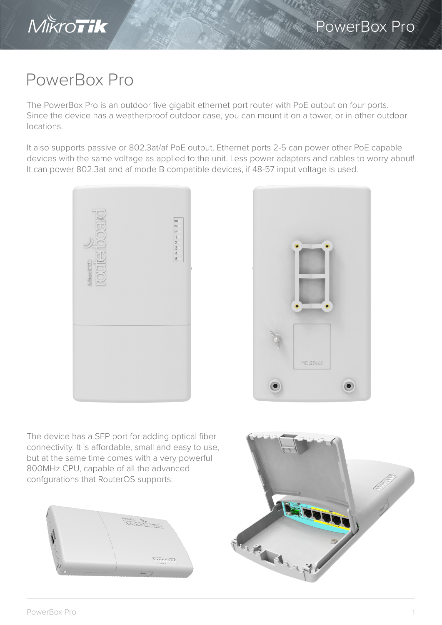

## PowerBox Pro

The PowerBox Pro is an outdoor five gigabit ethernet port router with PoE output on four ports. Since the device has a weatherproof outdoor case, you can mount it on a tower, or in other outdoor locations.

It also supports passive or 802.3at/af PoE output. Ethernet ports 2-5 can power other PoE capable devices with the same voltage as applied to the unit. Less power adapters and cables to worry about! It can power 802.3at and af mode B compatible devices, if 48-57 input voltage is used.





The device has a SFP port for adding optical fiber connectivity. It is affordable, small and easy to use, but at the same time comes with a very powerful 800MHz CPU, capable of all the advanced confgurations that RouterOS supports.